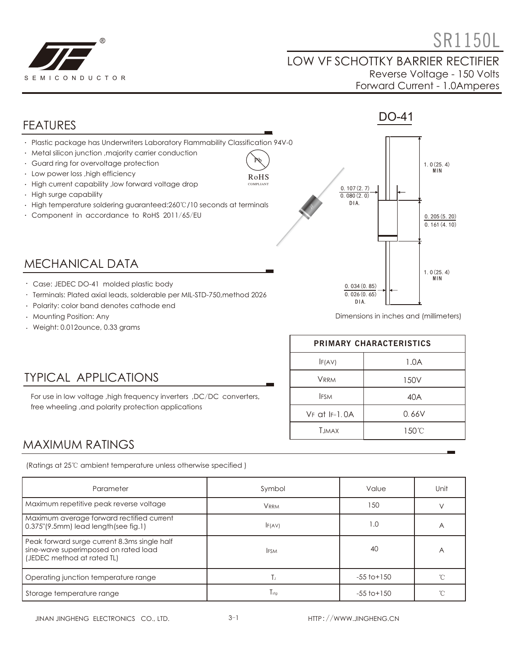

# $\bullet$  SR1150L

#### LOW VF SCHOTTKY BARRIER RECTIFIER Reverse Voltage - 150 Volts Forward Current - 1.0Amperes



Terminals: Plated axial leads, solderable per MIL-STD-750,method 2026

For use in low voltage , high frequency inverters , DC/DC converters,

- Polarity: color band denotes cathode end
- Mounting Position: Any
- Weight: 0.012ounce, 0.33 grams

TYPICAL APPLICATIONS

free wheeling ,and polarity protection applications

Dimensions in inches and (millimeters)

| PRIMARY CHARACTERISTICS |       |  |  |
|-------------------------|-------|--|--|
| IF(AV)                  | 1.0A  |  |  |
| <b>VRRM</b>             | 150V  |  |  |
| <b>IFSM</b>             | 40A   |  |  |
| $VF$ at $F=1.0A$        | 0.66V |  |  |
| <b>T.IMAX</b>           | 150°C |  |  |

 $0.026(0.65)$ DIA.

### MAXIMUM RATINGS

(Ratings at 25℃ ambient temperature unless otherwise specified )

| Parameter                                                                                                          | Symbol      | Value           |                |  |
|--------------------------------------------------------------------------------------------------------------------|-------------|-----------------|----------------|--|
| Maximum repetitive peak reverse voltage                                                                            | <b>VRRM</b> | 150             |                |  |
| Maximum average forward rectified current<br>0.375"(9.5mm) lead length(see fig.1)                                  | F(AV)       | 1.0             | $\overline{A}$ |  |
| Peak forward surge current 8.3ms single half<br>sine-wave superimposed on rated load<br>(JEDEC method at rated TL) | <b>IFSM</b> | 40              | А              |  |
| Operating junction temperature range                                                                               | Тı          | $-55$ to $+150$ |                |  |
| Storage temperature range                                                                                          | $T_{sta}$   | $-55$ to $+150$ |                |  |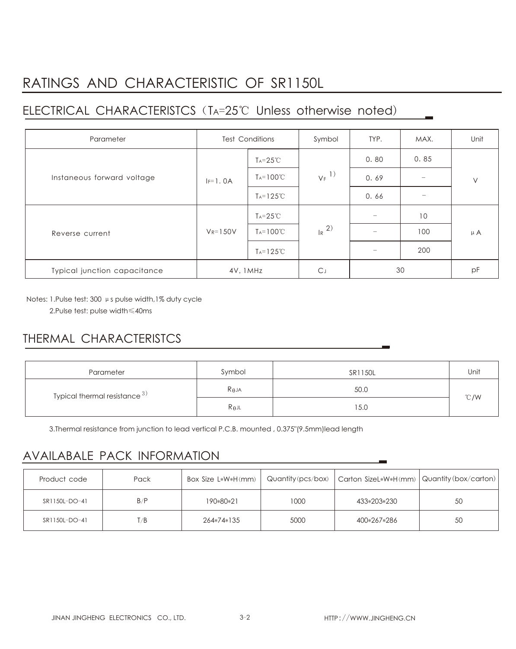# RATINGS AND CHARACTERISTIC OF SR1150L

## ELECTRICAL CHARACTERISTCS (TA=25℃ Unless otherwise noted)

| Parameter                    | <b>Test Conditions</b> |                       | Symbol              | TYP. | MAX. | Unit    |
|------------------------------|------------------------|-----------------------|---------------------|------|------|---------|
| Instaneous forward voltage   |                        | $Ta = 25^{\circ}C$    | $V_F$ <sup>1)</sup> | 0.80 | 0.85 | $\vee$  |
|                              | $IF=1.0A$              | $T_A = 100^{\circ}C$  |                     | 0.69 |      |         |
|                              |                        | $T_A = 125^{\circ}$ C |                     | 0.66 |      |         |
| Reverse current              | $V_R = 150V$           | $T_A = 25^{\circ}$ C  | $\frac{1}{R}$ 2)    |      | 10   | $\mu$ A |
|                              |                        | $T_A = 100^{\circ}C$  |                     |      | 100  |         |
|                              |                        | $T_A = 125^{\circ}C$  |                     |      | 200  |         |
| Typical junction capacitance | 4V, 1MHz               |                       | C.                  | 30   |      | pF      |

Notes: 1.Pulse test: 300 μs pulse width,1% duty cycle

2.Pulse test: pulse width≤40ms

## THERMAL CHARACTERISTCS

| Parameter                          | Symbol          | SR1150L | Unit |  |
|------------------------------------|-----------------|---------|------|--|
| Typical thermal resistance $^{3)}$ | $R_{\theta}$ JA | 50.0    | °C/W |  |
|                                    | $R_{\theta}$ jl | 15.0    |      |  |

3.Thermal resistance from junction to lead vertical P.C.B. mounted , 0.375"(9.5mm)lead length

### AVAILABALE PACK INFORMATION

| Product code  | Pack | Box Size L*W*H(mm) |      | Quantity (pcs/box)   Carton SizeL*W*H(mm)   Quantity (box/carton) |    |
|---------------|------|--------------------|------|-------------------------------------------------------------------|----|
| SR1150L-DO-41 | B/P  | 190*80*21          | 1000 | 433*203*230                                                       | 50 |
| SR1150L-DO-41 | T/B  | 264*74*135         | 5000 | 400*267*286                                                       | 50 |